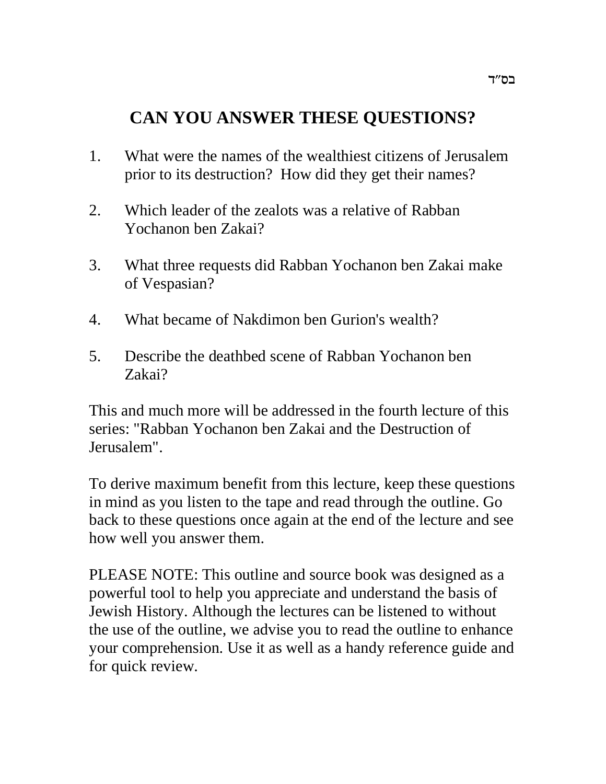# **CAN YOU ANSWER THESE QUESTIONS?**

- 1. What were the names of the wealthiest citizens of Jerusalem prior to its destruction? How did they get their names?
- 2. Which leader of the zealots was a relative of Rabban Yochanon ben Zakai?
- 3. What three requests did Rabban Yochanon ben Zakai make of Vespasian?
- 4. What became of Nakdimon ben Gurion's wealth?
- 5. Describe the deathbed scene of Rabban Yochanon ben Zakai?

This and much more will be addressed in the fourth lecture of this series: "Rabban Yochanon ben Zakai and the Destruction of Jerusalem".

To derive maximum benefit from this lecture, keep these questions in mind as you listen to the tape and read through the outline. Go back to these questions once again at the end of the lecture and see how well you answer them.

PLEASE NOTE: This outline and source book was designed as a powerful tool to help you appreciate and understand the basis of Jewish History. Although the lectures can be listened to without the use of the outline, we advise you to read the outline to enhance your comprehension. Use it as well as a handy reference guide and for quick review.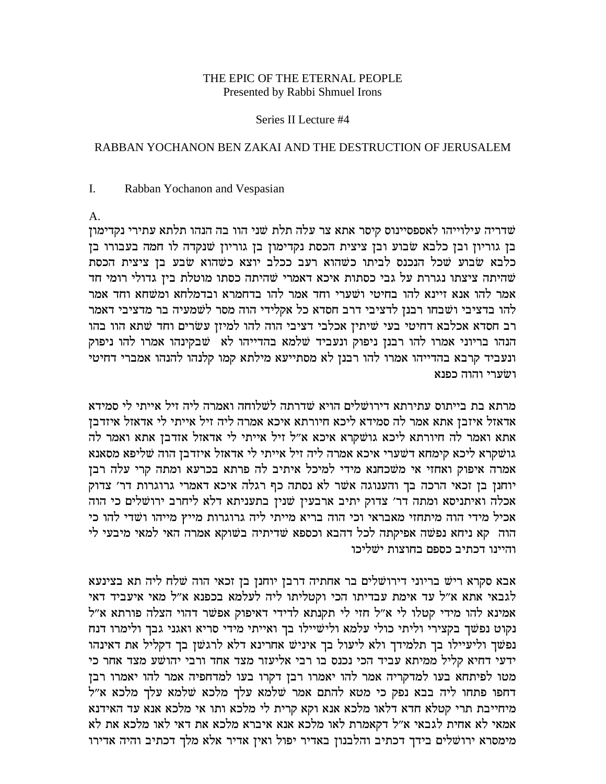### THE EPIC OF THE ETERNAL PEOPLE Presented by Rabbi Shmuel Irons

#### Series II Lecture #4

### RABBAN YOCHANON BEN ZAKAI AND THE DESTRUCTION OF JERUSALEM

#### $\mathbf{I}$ . Rabban Yochanon and Vespasian

 $A_{\cdot}$ 

שדריה עילוייהו לאספסיינוס קיסר אתא צר עלה תלת שני הוו בה הנהו תלתא עתירי נקדימון בן גוריון ובן כלבא שבוע ובן ציצית הכסת נקדימון בן גוריון שנקדה לו חמה בעבורו בן כלבא שבוע שכל הנכנס לביתו כשהוא רעב ככלב יוצא כשהוא שבע בן ציצית הכסת שהיתה ציצתו נגררת על גבי כסתות איכא דאמרי שהיתה כסתו מוטלת בין גדולי רומי חד אמר להו אנא זיינא להו בחיטי ושערי וחד אמר להו בדחמרא ובדמלחא ומשחא וחד אמר להו בדציבי ושבחו רבנן לדציבי דרב חסדא כל אקלידי הוה מסר לשמעיה בר מדציבי דאמר רב חסדא אכלבא דחיטי בעי שיתין אכלבי דציבי הוה להו למיזן עשרים וחד שתא הוו בהו הנהו בריוני אמרו להו רבנן ניפוק ונעביד שלמא בהדייהו לא שבקינהו אמרו להו ניפוק ונעביד קרבא בהדייהו אמרו להו רבנן לא מסתייעא מילתא קמו קלנהו להנהו אמברי דחיטי ושערי והוה כפנא

מרתא בת בייתוס עתירתא דירושלים הויא שדרתה לשלוחה ואמרה ליה זיל אייתי לי סמידא אדאזל איזבן אתא אמר לה סמידא ליכא חיורתא איכא אמרה ליה זיל אייתי לי אדאזל איזדבן אתא ואמר לה חיורתא ליכא גושקרא איכא א"ל זיל אייתי לי אדאזל אזדבן אתא ואמר לה גושקרא ליכא קימחא דשערי איכא אמרה ליה זיל אייתי לי אדאזל איזדבן הוה שליפא מסאנא אמרה איפוק ואחזי אי משכחנא מידי למיכל איתיב לה פרתא בכרעא ומתה קרי עלה רבן יוחנן בן זכאי הרכה בך והענוגה אשר לא נסתה כף רגלה איכא דאמרי גרוגרות דר׳ צדוק אכלה ואיתניסא ומתה דר' צדוק יתיב ארבעין שנין בתעניתא דלא ליחרב ירושלים כי הוה אכיל מידי הוה מיתחזי מאבראי וכי הוה בריא מייתי ליה גרוגרות מייץ מייהו ושדי להו כי הוה קא ניחא נפשה אפיקתה לכל דהבא וכספא שדיתיה בשוקא אמרה האי למאי מיבעי לי והיינו דכתיב כספם בחוצות ישליכו

אבא סקרא ריש בריוני דירושלים בר אחתיה דרבן יוחנן בן זכאי הוה שלח ליה תא בצינעא לגבאי אתא א״ל עד אימת עבדיתו הכי וקטליתו ליה לעלמא בכפנא א״ל מאי איעביד דאי אמינא להו מידי קטלו לי א"ל חזי לי תקנתא לדידי דאיפוק אפשר דהוי הצלה פורתא א"ל נקוט נפשך בקצירי וליתי כולי עלמא ולישיילו בך ואייתי מידי סריא ואגני גבך ולימרו דנח נפשך וליעיילו בך תלמידך ולא ליעול בך איניש אחרינא דלא לרגשן בך דקליל את דאינהו ידעי דחיא קליל ממיתא עביד הכי נכנס בו רבי אליעזר מצד אחד ורבי יהושע מצד אחר כי מטו לפיתחא בעו למדקריה אמר להו יאמרו רבן דקרו בעו למדחפיה אמר להו יאמרו רבן דחפו פתחו ליה בבא נפק כי מטא להתם אמר שלמא עלך מלכא שלמא עלך מלכא א"ל מיחייבת תרי קטלא חדא דלאו מלכא אנא וקא קרית לי מלכא ותו אי מלכא אנא עד האידנא אמאי לא אחית לגבאי א״ל דקאמרת לאו מלכא אנא איברא מלכא את דאי לאו מלכא את לא מימסרא ירושלים בידך דכתיב והלבנון באדיר יפול ואין אדיר אלא מלך דכתיב והיה אדירו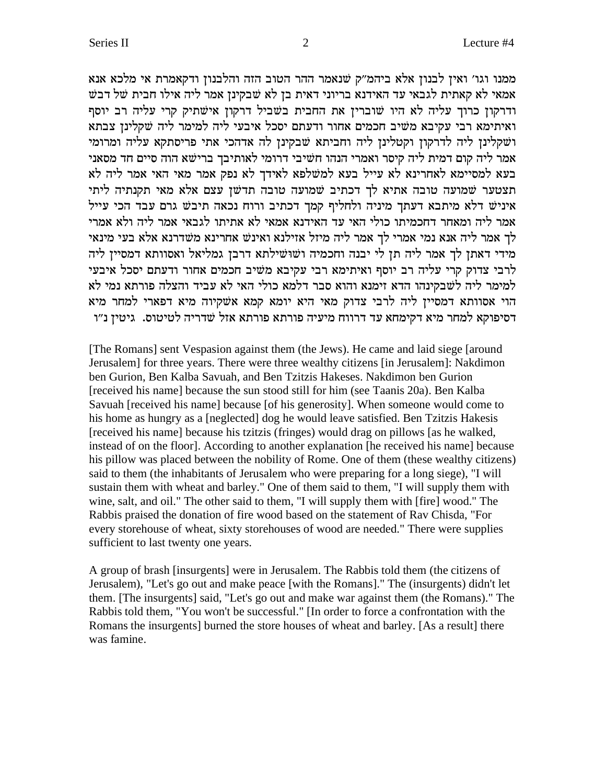ממנו וגו' ואין לבנון אלא ביהמ"ק שנאמר ההר הטוב הזה והלבנון ודקאמרת אי מלכא אנא אמאי לא קאתית לגבאי עד האידנא בריוני דאית בן לא שבקינן אמר ליה אילו חבית של דבש ודרקון כרוך עליה לא היו שוברין את החבית בשביל דרקון אישתיק קרי עליה רב יוסף ואיתימא רבי עקיבא משיב חכמים אחור ודעתם יסכל איבעי ליה למימר ליה שקלינן צבתא ושקלינן ליה לדרקון וקטלינן ליה וחביתא שבקינן לה אדהכי אתי פריסתקא עליה ומרומי אמר ליה קום דמית ליה קיסר ואמרי הנהו חשיבי דרומי לאותיבך ברישא הוה סיים חד מסאני בעא למסיימא לאחרינא לא עייל בעא למשלפא לאידך לא נפק אמר מאי האי אמר ליה לא תצטער שמועה טובה אתיא לך דכתיב שמועה טובה תדשן עצם אלא מאי תקנתיה ליתי איניש דלא מיתבא דעתך מיניה ולחליף קמך דכתיב ורוח נכאה תיבש גרם עבד הכי עייל אמר ליה ומאחר דחכמיתו כולי האי עד האידנא אמאי לא אתיתו לגבאי אמר ליה ולא אמרי לך אמר ליה אנא נמי אמרי לך אמר ליה מיזל אזילנא ואינש אחרינא משדרנא אלא בעי מינאי מידי דאתן לך אמר ליה תן לי יבנה וחכמיה ושוּשילתא דרבן גמליאל ואסוותא דמסיין ליה לרבי צדוק קרי עליה רב יוסף ואיתימא רבי עקיבא משיב חכמים אחור ודעתם יסכל איבעי למימר ליה לשבקינהו הדא זימנא והוא סבר דלמא כולי האי לא עביד והצלה פורתא נמי לא הוי אסוותא דמסיין ליה לרבי צדוק מאי היא יומא קמא אשקיוה מיא דפארי למחר מיא דסיפוקא למחר מיא דקימחא עד דרווח מיעיה פורתא פורתא אזל שדריה לטיטוס. גיטין נ״ו

[The Romans] sent Vespasion against them (the Jews). He came and laid siege [around Jerusalem] for three years. There were three wealthy citizens [in Jerusalem]: Nakdimon ben Gurion, Ben Kalba Savuah, and Ben Tzitzis Hakeses. Nakdimon ben Gurion [received his name] because the sun stood still for him (see Taanis 20a). Ben Kalba Savuah [received his name] because [of his generosity]. When someone would come to his home as hungry as a [neglected] dog he would leave satisfied. Ben Tzitzis Hakesis [received his name] because his tzitzis (fringes) would drag on pillows [as he walked, instead of on the floor]. According to another explanation [he received his name] because his pillow was placed between the nobility of Rome. One of them (these wealthy citizens) said to them (the inhabitants of Jerusalem who were preparing for a long siege), "I will sustain them with wheat and barley." One of them said to them, "I will supply them with wine, salt, and oil." The other said to them, "I will supply them with [fire] wood." The Rabbis praised the donation of fire wood based on the statement of Rav Chisda, "For every storehouse of wheat, sixty storehouses of wood are needed." There were supplies sufficient to last twenty one years.

A group of brash [insurgents] were in Jerusalem. The Rabbis told them (the citizens of Jerusalem), "Let's go out and make peace [with the Romans]." The (insurgents) didn't let them. [The insurgents] said, "Let's go out and make war against them (the Romans)." The Rabbis told them, "You won't be successful." [In order to force a confrontation with the Romans the insurgents] burned the store houses of wheat and barley. [As a result] there was famine.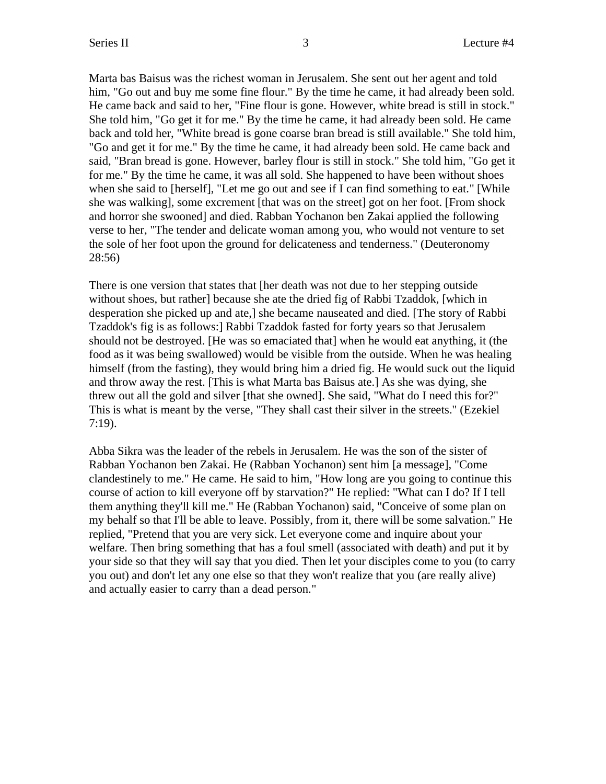Marta bas Baisus was the richest woman in Jerusalem. She sent out her agent and told him, "Go out and buy me some fine flour." By the time he came, it had already been sold. He came back and said to her, "Fine flour is gone. However, white bread is still in stock." She told him, "Go get it for me." By the time he came, it had already been sold. He came back and told her, "White bread is gone coarse bran bread is still available." She told him, "Go and get it for me." By the time he came, it had already been sold. He came back and said, "Bran bread is gone. However, barley flour is still in stock." She told him, "Go get it for me." By the time he came, it was all sold. She happened to have been without shoes when she said to [herself], "Let me go out and see if I can find something to eat." [While she was walking], some excrement [that was on the street] got on her foot. [From shock and horror she swooned] and died. Rabban Yochanon ben Zakai applied the following verse to her, "The tender and delicate woman among you, who would not venture to set the sole of her foot upon the ground for delicateness and tenderness." (Deuteronomy 28:56)

There is one version that states that [her death was not due to her stepping outside without shoes, but rather] because she ate the dried fig of Rabbi Tzaddok, [which in desperation she picked up and ate,] she became nauseated and died. [The story of Rabbi Tzaddok's fig is as follows:] Rabbi Tzaddok fasted for forty years so that Jerusalem should not be destroyed. [He was so emaciated that] when he would eat anything, it (the food as it was being swallowed) would be visible from the outside. When he was healing himself (from the fasting), they would bring him a dried fig. He would suck out the liquid and throw away the rest. [This is what Marta bas Baisus ate.] As she was dying, she threw out all the gold and silver [that she owned]. She said, "What do I need this for?" This is what is meant by the verse, "They shall cast their silver in the streets." (Ezekiel 7:19).

Abba Sikra was the leader of the rebels in Jerusalem. He was the son of the sister of Rabban Yochanon ben Zakai. He (Rabban Yochanon) sent him [a message], "Come clandestinely to me." He came. He said to him, "How long are you going to continue this course of action to kill everyone off by starvation?" He replied: "What can I do? If I tell them anything they'll kill me." He (Rabban Yochanon) said, "Conceive of some plan on my behalf so that I'll be able to leave. Possibly, from it, there will be some salvation." He replied, "Pretend that you are very sick. Let everyone come and inquire about your welfare. Then bring something that has a foul smell (associated with death) and put it by your side so that they will say that you died. Then let your disciples come to you (to carry you out) and don't let any one else so that they won't realize that you (are really alive) and actually easier to carry than a dead person."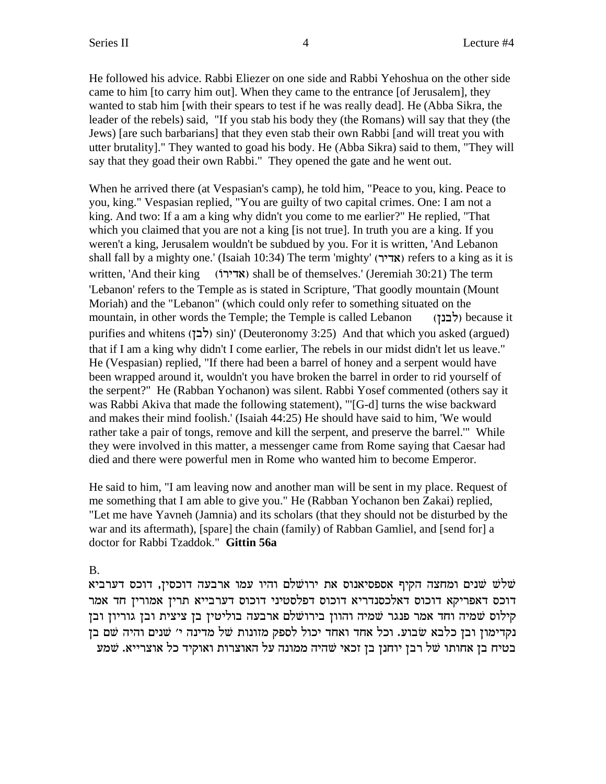He followed his advice. Rabbi Eliezer on one side and Rabbi Yehoshua on the other side came to him [to carry him out]. When they came to the entrance [of Jerusalem], they wanted to stab him [with their spears to test if he was really dead]. He (Abba Sikra, the leader of the rebels) said, "If you stab his body they (the Romans) will say that they (the Jews) [are such barbarians] that they even stab their own Rabbi [and will treat you with utter brutality]." They wanted to goad his body. He (Abba Sikra) said to them, "They will say that they goad their own Rabbi." They opened the gate and he went out.

When he arrived there (at Vespasian's camp), he told him, "Peace to you, king. Peace to you, king." Vespasian replied, "You are guilty of two capital crimes. One: I am not a king. And two: If a am a king why didn't you come to me earlier?" He replied, "That which you claimed that you are not a king [is not true]. In truth you are a king. If you weren't a king, Jerusalem wouldn't be subdued by you. For it is written, 'And Lebanon shall fall by a mighty one.' (Isaiah 10:34) The term 'mighty' (אדיר) refers to a king as it is written, 'And their king (אדירוֹ) shall be of themselves.' (Jeremiah 30:21) The term 'Lebanon' refers to the Temple as is stated in Scripture, 'That goodly mountain (Mount Moriah) and the "Lebanon" (which could only refer to something situated on the mountain, in other words the Temple; the Temple is called Lebanon (לבנץ) because it purifies and whitens ( $\langle \xi \rangle$ sin)' (Deuteronomy 3:25) And that which you asked (argued) that if I am a king why didn't I come earlier, The rebels in our midst didn't let us leave." He (Vespasian) replied, "If there had been a barrel of honey and a serpent would have been wrapped around it, wouldn't you have broken the barrel in order to rid yourself of the serpent?" He (Rabban Yochanon) was silent. Rabbi Yosef commented (others say it was Rabbi Akiva that made the following statement), "'[G-d] turns the wise backward and makes their mind foolish.' (Isaiah 44:25) He should have said to him, 'We would rather take a pair of tongs, remove and kill the serpent, and preserve the barrel.'" While they were involved in this matter, a messenger came from Rome saying that Caesar had died and there were powerful men in Rome who wanted him to become Emperor.

He said to him, "I am leaving now and another man will be sent in my place. Request of me something that I am able to give you." He (Rabban Yochanon ben Zakai) replied, "Let me have Yavneh (Jamnia) and its scholars (that they should not be disturbed by the war and its aftermath), [spare] the chain (family) of Rabban Gamliel, and [send for] a doctor for Rabbi Tzaddok." **Gittin 56a**

#### B.

שלשׁ שנים ומחצה הקיף אספסיאנוס את ירושלם והיו עמו ארבעה דוכסין, דוכס דערביא **W** דוכס דאפריקא דוכוס דאלכסנדריא דוכוס דפלסטיני דוכוס דערבייא תרין אמורין חד אמר קילוס שמיה וחד אמר פנגר שמיה והוון בירושלם ארבעה בוליטין בן ציצית ובן גוריון ובן נקדימון ובן כלבא שבוע. וכל אחד ואחד יכול לספק מזונות של מדינה י׳ שנים והיה שם בן בטיח בן אחותו של רבן יוחנן בן זכאי שהיה ממונה על האוצרות ואוקיד כל אוצרייא. שמע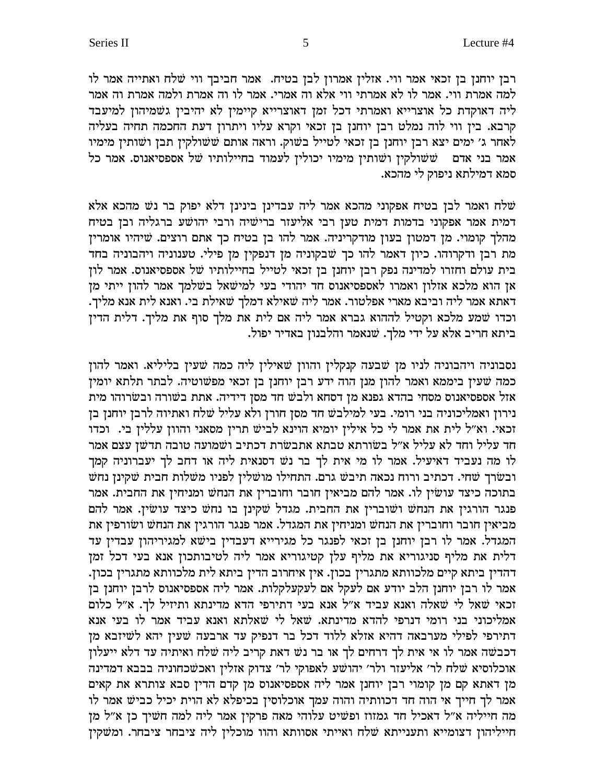רבן יוחנן בן זכאי אמר ווי. אזלין אמרון לבן בטיח. אמר חביבך ווי שלח ואתייה אמר לו למה אמרת ווי. אמר לו לא אמרתי ווי אלא וה אמרי. אמר לו וה אמרת ולמה אמרת וה אמר ליה דאוקדת כל אוצרייא ואמרתי דכל זמן דאוצרייא קיימין לא יהיבין גשמיהון למיעבד קרבא. בין ווי לוה נמלט רבן יוחנן בן זכאי וקרא עליו ויתרון דעת החכמה תחיה בעליה לאחר ג׳ ימים יצא רבן יוחנן בן זכאי לטייל בשוק. וראה אותם ששולקין תבן ושותין מימיו אמר בני אדם ששולקין ושותין מימיו יכולין לעמוד בחיילותיו של אספסיאנוס. אמר כל סמא דמילתא ניפוק לי מהכא.

שלח ואמר לבן בטיח אפקוני מהכא אמר ליה עבדינן בינינן דלא יפוק בר נש מהכא אלא דמית אמר אפקוני בדמות דמית טען רבי אליעזר ברישיה ורבי יהושע ברגליה ובן בטיח מהלך קומוי. מן דמטון בעון מודקריניה. אמר להו בן בטיח כך אתם רוצים. שיהיו אומרין מת רבן ודקרוהו. כיון דאמר להו כך שבקוניה מן דנפקין מן פילי. טענוניה ויהבוניה בחד בית עולם וחזרו למדינה נפק רבן יוחנן בן זכאי לטייל בחיילותיו של אספסיאנוס. אמר לון אן הוא מלכא אזלון ואמרו לאספסיאנוס חד יהודי בעי למישאל בשלמך אמר להון ייתי מן .<br>דאתא אמר ליה וביבא מארי אפלטור. אמר ליה שאילא דמלך שאילת בי. ואנא לית אנא מליך. וכדו שמע מלכא וקטיל לההוא גברא אמר ליה אם לית את מלך סוף את מליך. דלית הדין ביתא חריב אלא על ידי מלך. שנאמר והלבנון באדיר יפול.

נסבוניה ויהבוניה לניו מן שבעה קנקלין והוון שאילין ליה כמה שעין בליליא. ואמר להון כמה שעין ביממא ואמר להון מנן הוה ידע רבן יוחנן בן זכאי מפשוטיה. לבתר תלתא יומין אזל אספסיאנוס מסחי בהדא גפנא מן דסחא ולבש חד מסן דידיה. אתת בשורה ובשרוהו מית נירון ואמליכוניה בני רומי. בעי למילבש חד מסן חורן ולא עליל שלח ואתיוה לרבן יוחנן בן זכאי. וא״ל לית את אמר לי כל אילין יומיא הוינא לביש תרין מסאני והוון עללין בי. וכדו חד עליל וחד לא עליל א״ל בשורתא טבתא אתבשרת דכתיב ושמועה טובה תדשן עצם אמר לו מה נעביד דאיעיל. אמר לו מי אית לך בר נש דסנאית ליה או דחב לך יעברוניה קמך ובשרך שחי. דכתיב ורוח נכאה תיבש גרם. התחילו מושלין לפניו משלות חבית שקינן נחש בתוכה כיצד עושין לו. אמר להם מביאין חובר וחוברין את הנחש ומניחין את החבית. אמר פנגר הורגין את הנחש ושוברין את החבית. מגדל שקינן בו נחש כיצד עושין. אמר להם מביאין חובר וחוברין את הנחש ומניחין את המגדל. אמר פנגר הורגין את הנחש ושורפין את המגדל. אמר לו רבן יוחנן בן זכאי לפנגר כל מגירייא דעבדין בישא למגיריהון עבדין עד דלית את מליף סניגוריא את מליף עלן קטיגוריא אמר ליה לטיבותכון אנא בעי דכל זמן דהדין ביתא קיים מלכוותא מתגרין בכון. אין איחרוב הדין ביתא לית מלכוותא מתגרין בכון. אמר לו רבן יוחנן הלב יודע אם לעקל אם לעקעלקלות. אמר ליה אספסיאנוס לרבן יוחנן בן זכאי שאל לי שאלה ואנא עביד א"ל אנא בעי דתירפי הדא מדינתא ותיזיל לך. א"ל כלום אמליכוני בני רומי דנרפי להדא מדינתא. שאל לי שאלתא ואנא עביד אמר לו בעי אנא דתירפי לפילי מערבאה דהיא אזלא ללוד דכל בר דנפיק עד ארבעה שעין יהא לשיזבא מן דכבשה אמר לו אי אית לך דרחים לך או בר נש דאת קריב ליה שלח ואיתיה עד דלא ייעלון אוכלוסיא שלח לר' אליעזר ולר' יהושע לאפוקי לר' צדוק אזלין ואכשכחוניה בבבא דמדינה מן דאתא קם מן קומוי רבן יוחנן אמר ליה אספסיאנוס מן קדם הדין סבא צותרא את קאים אמר לך חייך אי הוה חד דכוותיה והוה עמך אוכלוסין בכיפלא לא הוית יכיל כביש אמר לו מה חייליה א״ל דאכיל חד גמזוז ופשיט עלוהי מאה פרקין אמר ליה למה חשיך כן א״ל מן חייליהון דצומייא ותענייתא שלח ואייתי אסוותא והוו מוכלין ליה ציבחר ציבחר. ומשקין

5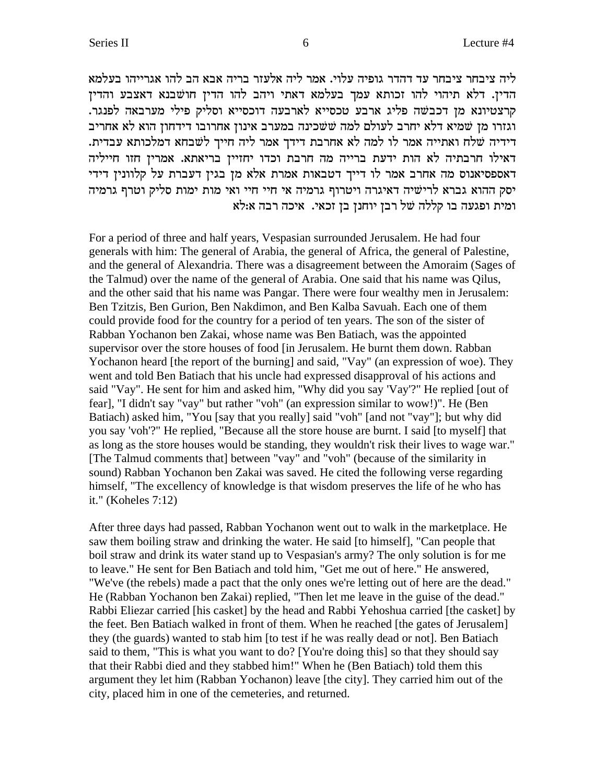ליה ציבחר ציבחר עד דהדר גופיה עלוי. אמר ליה אלעזר בריה אבא הב להו אגרייהו בעלמא הדין. דלא תיהוי להו זכותא עמך בעלמא דאתי ויהב להו הדין חושבנא דאצבע והדין קרצטיונא מן דכבשה פליג ארבע טכסייא לארבעה דוכסייא וסליק פילי מערבאה לפנגר. וגזרו מן שמיא דלא יחרב לעולם למה ששכינה במערב אינון אחרובו דידחון הוא לא אחריב דידיה שלח ואתייה אמר לו למה לא אחרבת דידך אמר ליה חייך לשבחא דמלכותא עבדית. דאילו חרבתיה לא הות ידעת ברייה מה חרבת וכדו יחזיין בריאתא. אמרין חזו חייליה דאספסיאנוס מה אחרב אמר לו דייך דטבאות אמרת אלא מן בגין דעברת על קלוונין דידי יסק ההוא גברא לרישיה דאיגרה ויטרוף גרמיה אי חיי חיי ואי מות ימות סליק וטרף גרמיה ומית ופגעה בו קללה של רבן יוחנן בן זכאי. איכה רבה א:לא

For a period of three and half years, Vespasian surrounded Jerusalem. He had four generals with him: The general of Arabia, the general of Africa, the general of Palestine, and the general of Alexandria. There was a disagreement between the Amoraim (Sages of the Talmud) over the name of the general of Arabia. One said that his name was Qilus, and the other said that his name was Pangar. There were four wealthy men in Jerusalem: Ben Tzitzis, Ben Gurion, Ben Nakdimon, and Ben Kalba Savuah. Each one of them could provide food for the country for a period of ten years. The son of the sister of Rabban Yochanon ben Zakai, whose name was Ben Batiach, was the appointed supervisor over the store houses of food [in Jerusalem. He burnt them down. Rabban Yochanon heard [the report of the burning] and said, "Vay" (an expression of woe). They went and told Ben Batiach that his uncle had expressed disapproval of his actions and said "Vay". He sent for him and asked him, "Why did you say 'Vay'?" He replied [out of fear], "I didn't say "vay" but rather "voh" (an expression similar to wow!)". He (Ben Batiach) asked him, "You [say that you really] said "voh" [and not "vay"]; but why did you say 'voh'?" He replied, "Because all the store house are burnt. I said [to myself] that as long as the store houses would be standing, they wouldn't risk their lives to wage war." [The Talmud comments that] between "vay" and "voh" (because of the similarity in sound) Rabban Yochanon ben Zakai was saved. He cited the following verse regarding himself, "The excellency of knowledge is that wisdom preserves the life of he who has it." (Koheles  $7:12$ )

After three days had passed, Rabban Yochanon went out to walk in the marketplace. He saw them boiling straw and drinking the water. He said [to himself], "Can people that boil straw and drink its water stand up to Vespasian's army? The only solution is for me to leave." He sent for Ben Batiach and told him, "Get me out of here." He answered, "We've (the rebels) made a pact that the only ones we're letting out of here are the dead." He (Rabban Yochanon ben Zakai) replied, "Then let me leave in the guise of the dead." Rabbi Eliezar carried [his casket] by the head and Rabbi Yehoshua carried [the casket] by the feet. Ben Batiach walked in front of them. When he reached [the gates of Jerusalem] they (the guards) wanted to stab him [to test if he was really dead or not]. Ben Batiach said to them, "This is what you want to do? [You're doing this] so that they should say that their Rabbi died and they stabbed him!" When he (Ben Batiach) told them this argument they let him (Rabban Yochanon) leave [the city]. They carried him out of the city, placed him in one of the cemeteries, and returned.

6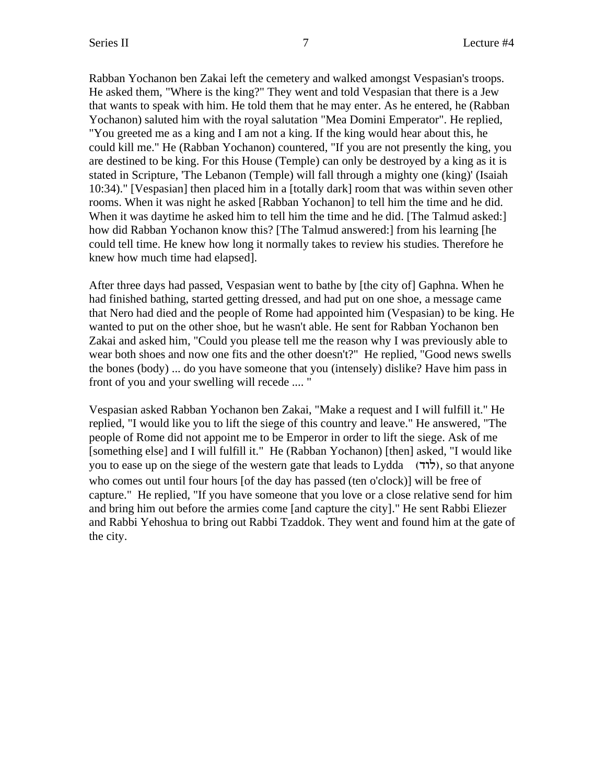Rabban Yochanon ben Zakai left the cemetery and walked amongst Vespasian's troops. He asked them, "Where is the king?" They went and told Vespasian that there is a Jew that wants to speak with him. He told them that he may enter. As he entered, he (Rabban Yochanon) saluted him with the royal salutation "Mea Domini Emperator". He replied, "You greeted me as a king and I am not a king. If the king would hear about this, he could kill me." He (Rabban Yochanon) countered, "If you are not presently the king, you are destined to be king. For this House (Temple) can only be destroyed by a king as it is stated in Scripture, 'The Lebanon (Temple) will fall through a mighty one (king)' (Isaiah 10:34)." [Vespasian] then placed him in a [totally dark] room that was within seven other rooms. When it was night he asked [Rabban Yochanon] to tell him the time and he did. When it was daytime he asked him to tell him the time and he did. [The Talmud asked:] how did Rabban Yochanon know this? [The Talmud answered:] from his learning [he could tell time. He knew how long it normally takes to review his studies. Therefore he knew how much time had elapsed].

After three days had passed, Vespasian went to bathe by [the city of] Gaphna. When he had finished bathing, started getting dressed, and had put on one shoe, a message came that Nero had died and the people of Rome had appointed him (Vespasian) to be king. He wanted to put on the other shoe, but he wasn't able. He sent for Rabban Yochanon ben Zakai and asked him, "Could you please tell me the reason why I was previously able to wear both shoes and now one fits and the other doesn't?" He replied, "Good news swells the bones (body) ... do you have someone that you (intensely) dislike? Have him pass in front of you and your swelling will recede .... "

Vespasian asked Rabban Yochanon ben Zakai, "Make a request and I will fulfill it." He replied, "I would like you to lift the siege of this country and leave." He answered, "The people of Rome did not appoint me to be Emperor in order to lift the siege. Ask of me [something else] and I will fulfill it." He (Rabban Yochanon) [then] asked, "I would like you to ease up on the siege of the western gate that leads to Lydda (לוד), so that anyone who comes out until four hours [of the day has passed (ten o'clock)] will be free of capture." He replied, "If you have someone that you love or a close relative send for him and bring him out before the armies come [and capture the city]." He sent Rabbi Eliezer and Rabbi Yehoshua to bring out Rabbi Tzaddok. They went and found him at the gate of the city.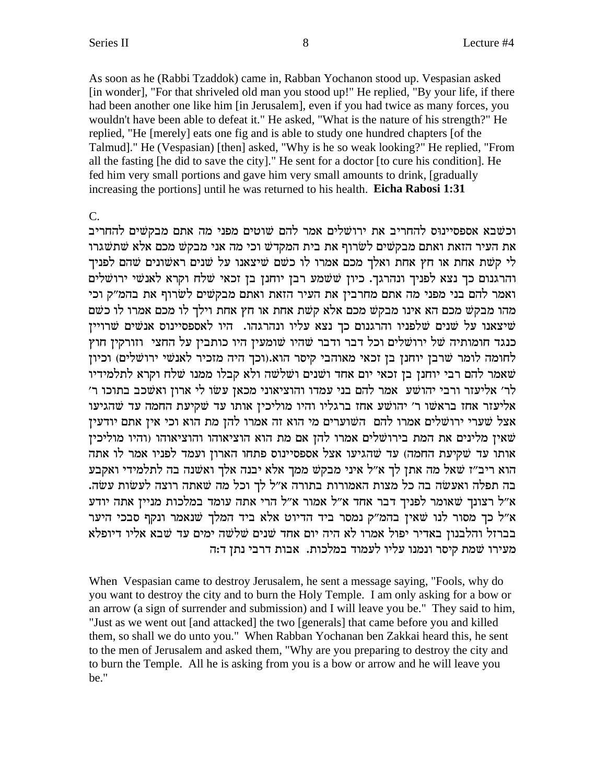As soon as he (Rabbi Tzaddok) came in, Rabban Yochanon stood up. Vespasian asked [in wonder], "For that shriveled old man you stood up!" He replied, "By your life, if there had been another one like him [in Jerusalem], even if you had twice as many forces, you wouldn't have been able to defeat it." He asked, "What is the nature of his strength?" He replied, "He [merely] eats one fig and is able to study one hundred chapters [of the Talmud]." He (Vespasian) [then] asked, "Why is he so weak looking?" He replied, "From all the fasting [he did to save the city]." He sent for a doctor [to cure his condition]. He fed him very small portions and gave him very small amounts to drink, [gradually increasing the portions] until he was returned to his health. **Eicha Rabosi 1:31**

C.

וכשבא אספסיינוּס להחריב את ירושלים אמר להם שוטים מפני מה אתם מבקשים להחריב את העיר הזאת ואתם מבקשים לשרוף את בית המקדש וכי מה אני מבקש מכם אלא שתשגרו לי קשת אחת או חץ אחת ואלך מכם אמרו לו כשם שיצאנו על שנים ראשונים שהם לפניך והרגנום כך נצא לפניך ונהרגך. כיון ששמע רבן יוחנן בן זכאי שלח וקרא לאנשי ירושלים ואמר להם בני מפני מה אתם מחרבין את העיר הזאת ואתם מבקשים לשרוף את בהמ״ק וכי מהו מבקש מכם הא אינו מבקש מכם אלא קשת אחת או חץ אחת וילך לו מכם אמרו לו כשם שיצאנו על שנים שלפניו והרגנום כך נצא עליו ונהרגהו. היו לאספסיינוס אנשים שרויין  $\ddot{w}$ כנגד חומותיה של ירושלים וכל דבר ודבר שהיו שומעין היו כותבין על החצי וזורקין חוץ לחומה לומר שרבן יוחנן בן זכאי מאוהבי קיסר הוא.(וכך היה מזכיר לאנשי ירושלים) וכיון שאמר להם רבי יוחנן בן זכאי יום אחד ושנים ושלשה ולא קבלו ממנו שלח וקרא לתלמידיו  $'$ לר׳ אליעזר ורבי יהושע אמר להם בני עמדו והוציאוני מכאן עשו לי ארון ואשכב בתוכו ר׳ אליעזר אחז בראשו ר' יהושע אחז ברגליו והיו מוליכין אותו עד שקיעת החמה עד שהגיעו אצל שערי ירושלים אמרו להם השוערים מי הוא זה אמרו להן מת הוא וכי אין אתם יודעין טאין מלינים את המת בירושלים אמרו להן אם מת הוא הוציאוהו והוציאוהו (והיו מוליכין  $\dot{w}$ אותו עד שקיעת החמה) עד שהגיעו אצל אספסיינוס פתחו הארון ועמד לפניו אמר לו אתה הוא ריב"ז שאל מה אתן לך א"ל איני מבקש ממך אלא יבנה אלך ואשנה בה לתלמידי ואקבע בה תפלה ואעשה בה כל מצות האמורות בתורה א״ל לך וכל מה שאתה רוצה לעשות עשה. א״ל רצונך שאומר לפניך דבר אחד א״ל אמור א״ל הרי אתה עומד במלכות מניין אתה יודע א״ל כך מסור לנו שאין בהמ״ק נמסר ביד הדיוט אלא ביד המלך שנאמר ונקף סבכי היער בברזל והלבנון באדיר יפול אמרו לא היה יום אחד שנים שלשה ימים עד שבא אליו דיופלא מעירו שמת קיסר ונמנו עליו לעמוד במלכות. אבות דרבי נתן ד:ה

When Vespasian came to destroy Jerusalem, he sent a message saying, "Fools, why do you want to destroy the city and to burn the Holy Temple. I am only asking for a bow or an arrow (a sign of surrender and submission) and I will leave you be." They said to him, "Just as we went out [and attacked] the two [generals] that came before you and killed them, so shall we do unto you." When Rabban Yochanan ben Zakkai heard this, he sent to the men of Jerusalem and asked them, "Why are you preparing to destroy the city and to burn the Temple. All he is asking from you is a bow or arrow and he will leave you be."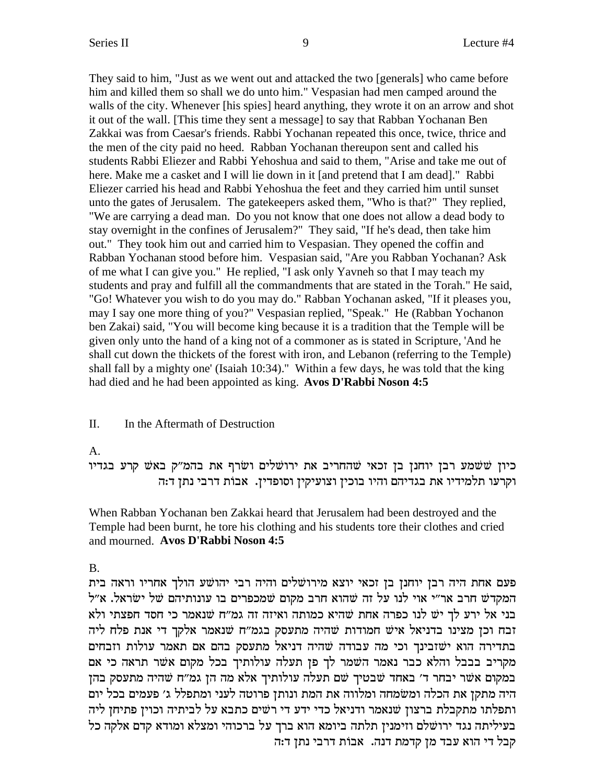They said to him, "Just as we went out and attacked the two [generals] who came before him and killed them so shall we do unto him." Vespasian had men camped around the walls of the city. Whenever [his spies] heard anything, they wrote it on an arrow and shot it out of the wall. [This time they sent a message] to say that Rabban Yochanan Ben Zakkai was from Caesar's friends. Rabbi Yochanan repeated this once, twice, thrice and the men of the city paid no heed. Rabban Yochanan thereupon sent and called his students Rabbi Eliezer and Rabbi Yehoshua and said to them, "Arise and take me out of here. Make me a casket and I will lie down in it [and pretend that I am dead]." Rabbi Eliezer carried his head and Rabbi Yehoshua the feet and they carried him until sunset unto the gates of Jerusalem. The gatekeepers asked them, "Who is that?" They replied, "We are carrying a dead man. Do you not know that one does not allow a dead body to stay overnight in the confines of Jerusalem?" They said, "If he's dead, then take him out." They took him out and carried him to Vespasian. They opened the coffin and Rabban Yochanan stood before him. Vespasian said, "Are you Rabban Yochanan? Ask of me what I can give you." He replied, "I ask only Yavneh so that I may teach my students and pray and fulfill all the commandments that are stated in the Torah." He said, "Go! Whatever you wish to do you may do." Rabban Yochanan asked, "If it pleases you, may I say one more thing of you?" Vespasian replied, "Speak." He (Rabban Yochanon ben Zakai) said, "You will become king because it is a tradition that the Temple will be given only unto the hand of a king not of a commoner as is stated in Scripture, 'And he shall cut down the thickets of the forest with iron, and Lebanon (referring to the Temple) shall fall by a mighty one' (Isaiah 10:34)." Within a few days, he was told that the king had died and he had been appointed as king. **Avos D'Rabbi Noson 4:5**

#### II. In the Aftermath of Destruction

A.

כיון שׁשמע רבן יוחנן בן זכאי שהחריב את ירושלים ושרף את בהמ״ק באש קרע בגדיו וקרעו תלמידיו את בגדיהם והיו בוכין וצועיקין וסופדין. אבות דרבי נתן ד:ה

When Rabban Yochanan ben Zakkai heard that Jerusalem had been destroyed and the Temple had been burnt, he tore his clothing and his students tore their clothes and cried and mourned. **Avos D'Rabbi Noson 4:5**

B.

פעם אחת היה רבן יוחנן בן זכאי יוצא מירושלים והיה רבי יהושע הולך אחריו וראה בית המקדש חרב אר"י אוי לנו על זה שהוא חרב מקום שמכפרים בו עונותיהם של ישראל. א"ל בני אל ירע לך יש לנו כפרה אחת שהיא כמותה ואיזה זה גמ"ח שנאמר כי חסד חפצתי ולא זבח וכן מצינו בדניאל איש חמודות שהיה מתעסק בגמ"ח שנאמר אלקך די אנת פלח ליה בתדירה הוא ישׁזבינך וכי מה עבודה שהיה דניאל מתעסק בהם אם תאמר עולות וזבחים מקריב בבבל והלא כבר נאמר השמר לך פן תעלה עולותיך בכל מקום אשר תראה כי אם במקום אשר יבחר ד' באחד שבטיך שם תעלה עולותיך אלא מה הן גמ"ח שהיה מתעסק בהן היה מתקן את הכלה ומשמחה ומלווה את המת ונותן פרוטה לעני ומתפלל ג׳ פעמים בכל יום ותפלתו מתקבלת ברצון שנאמר ודניאל כדי ידע די רשים כתבא על לביתיה וכוין פתיחן ליה בעיליתה נגד ירושלם וזימנין תלתה ביומא הוא ברך על ברכוהי ומצלא ומודא קדם אלקה כל .<br>קבל די הוא עבד מז קדמת דנה. אבות דרבי נתז ד:ה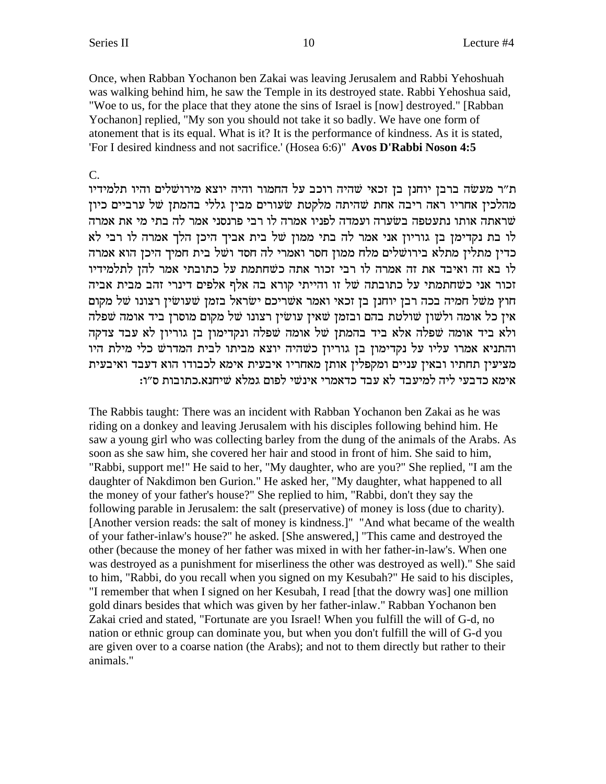Once, when Rabban Yochanon ben Zakai was leaving Jerusalem and Rabbi Yehoshuah was walking behind him, he saw the Temple in its destroyed state. Rabbi Yehoshua said, "Woe to us, for the place that they atone the sins of Israel is [now] destroyed." [Rabban] Yochanon] replied, "My son you should not take it so badly. We have one form of atonement that is its equal. What is it? It is the performance of kindness. As it is stated, 'For I desired kindness and not sacrifice.' (Hosea 6:6)" Avos D'Rabbi Noson 4:5

### $\overline{C}$ .

ת"ר מעשה ברבן יוחנן בן זכאי שהיה רוכב על החמור והיה יוצא מירושלים והיו תלמידיו מהלכין אחריו ראה ריבה אחת שהיתה מלקטת שעורים מבין גללי בהמתן של ערביים כיון שראתה אותו נתעטפה בשערה ועמדה לפניו אמרה לו רבי פרנסני אמר לה בתי מי את אמרה לו בת נקדימן בן גוריון אני אמר לה בתי ממון של בית אביך היכן הלך אמרה לו רבי לא כדין מתלין מתלא בירושלים מלח ממון חסר ואמרי לה חסד ושל בית חמיך היכן הוא אמרה לו בא זה ואיבד את זה אמרה לו רבי זכור אתה כשחתמת על כתובתי אמר להן לתלמידיו זכור אני כשחתמתי על כתובתה של זו והייתי קורא בה אלף אלפים דינרי זהב מבית אביה חוץ משל חמיה בכה רבן יוחנן בן זכאי ואמר אשריכם ישראל בזמן שעושין רצונו של מקום אין כל אומה ולשון שולטת בהם ובזמן שאין עושין רצונו של מקום מוסרן ביד אומה שפלה ולא ביד אומה שפלה אלא ביד בהמתן של אומה שפלה ונקדימון בן גוריון לא עבד צדקה והתניא אמרו עליו על נקדימון בן גוריון כשהיה יוצא מביתו לבית המדרש כלי מילת היו מציעין תחתיו ובאין עניים ומקפלין אותן מאחריו איבעית אימא לכבודו הוא דעבד ואיבעית אימא כדבעי ליה למיעבד לא עבד כדאמרי אינשי לפום גמלא שיחנא.כתובות ס״ו:

The Rabbis taught: There was an incident with Rabban Yochanon ben Zakai as he was riding on a donkey and leaving Jerusalem with his disciples following behind him. He saw a young girl who was collecting barley from the dung of the animals of the Arabs. As soon as she saw him, she covered her hair and stood in front of him. She said to him, "Rabbi, support me!" He said to her, "My daughter, who are you?" She replied, "I am the daughter of Nakdimon ben Gurion." He asked her, "My daughter, what happened to all the money of your father's house?" She replied to him, "Rabbi, don't they say the following parable in Jerusalem: the salt (preservative) of money is loss (due to charity). [Another version reads: the salt of money is kindness.]" "And what became of the wealth of your father-inlaw's house?" he asked. [She answered,] "This came and destroyed the other (because the money of her father was mixed in with her father-in-law's. When one was destroyed as a punishment for miserliness the other was destroyed as well)." She said to him, "Rabbi, do you recall when you signed on my Kesubah?" He said to his disciples, "I remember that when I signed on her Kesubah, I read [that the dowry was] one million gold dinars besides that which was given by her father-inlaw." Rabban Yochanon ben Zakai cried and stated, "Fortunate are you Israel! When you fulfill the will of G-d, no nation or ethnic group can dominate you, but when you don't fulfill the will of G-d you are given over to a coarse nation (the Arabs); and not to them directly but rather to their animals."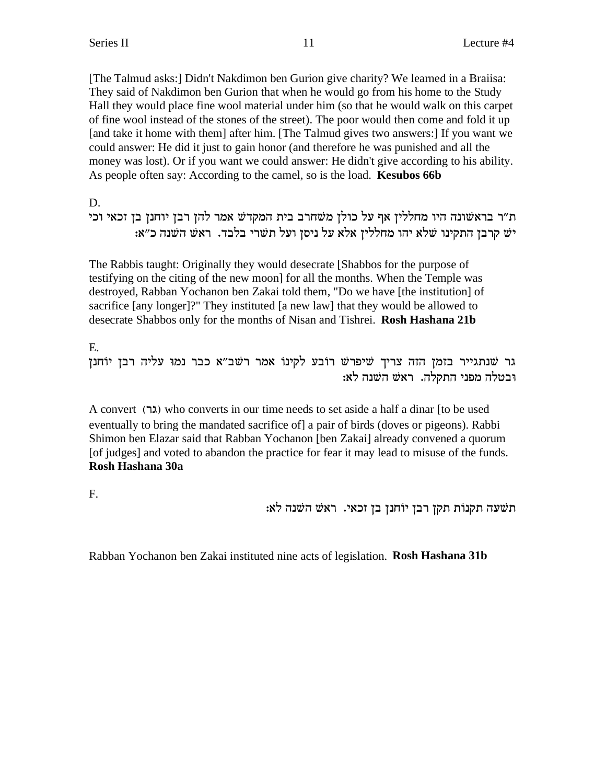[The Talmud asks:] Didn't Nakdimon ben Gurion give charity? We learned in a Braiisa: They said of Nakdimon ben Gurion that when he would go from his home to the Study Hall they would place fine wool material under him (so that he would walk on this carpet of fine wool instead of the stones of the street). The poor would then come and fold it up [and take it home with them] after him. [The Talmud gives two answers:] If you want we could answer: He did it just to gain honor (and therefore he was punished and all the money was lost). Or if you want we could answer: He didn't give according to his ability. As people often say: According to the camel, so is the load. **Kesubos 66b**

D.

ת״ר בראשׁונה היו מחללין אף על כולן משחרב בית המקדש אמר להן רבן יוחנן בן זכאי וכי :יש קרבן התקינו שלא יהו מחללין אלא על ניסן ועל תשרי בלבד. ראש השנה כ"א

The Rabbis taught: Originally they would desecrate [Shabbos for the purpose of testifying on the citing of the new moon] for all the months. When the Temple was destroyed, Rabban Yochanon ben Zakai told them, "Do we have [the institution] of sacrifice [any longer]?" They instituted [a new law] that they would be allowed to desecrate Shabbos only for the months of Nisan and Tishrei. **Rosh Hashana 21b**

E. גר שנתגייר בזמן הזה צריך שיפרש רובע לקינו אמר רשב"א כבר נמו עליה רבז יוֹחנז  $:$ ובטלה מפני התקלה. ראש השנה לא

A convert (xb) who converts in our time needs to set aside a half a dinar [to be used eventually to bring the mandated sacrifice of] a pair of birds (doves or pigeons). Rabbi Shimon ben Elazar said that Rabban Yochanon [ben Zakai] already convened a quorum [of judges] and voted to abandon the practice for fear it may lead to misuse of the funds. **Rosh Hashana 30a**

F.

: תשׁעה תקנות תקן רבן יוֹחנן בן זכאי. ראש השנה לא

Rabban Yochanon ben Zakai instituted nine acts of legislation. **Rosh Hashana 31b**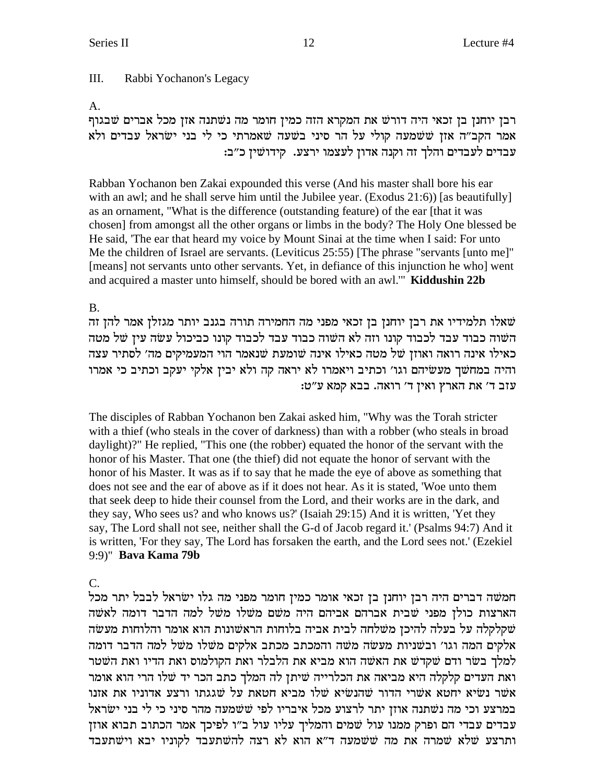#### III. Rabbi Yochanon's Legacy

### $A<sub>1</sub>$

רבן יוחנן בן זכאי היה דורשׁ את המקרא הזה כמין חומר מה נשתנה אזן מכל אברים שבגוף אמר הקב"ה אזן ששמעה קולי על הר סיני בשעה שאמרתי כי לי בני ישראל עבדים ולא עבדים לעבדים והלך זה וקנה אדון לעצמו ירצע. קידושין כ"ב:

Rabban Yochanon ben Zakai expounded this verse (And his master shall bore his ear with an awl; and he shall serve him until the Jubilee year. (Exodus  $21:6$ ) [as beautifully] as an ornament, "What is the difference (outstanding feature) of the ear [that it was chosen] from amongst all the other organs or limbs in the body? The Holy One blessed be He said, 'The ear that heard my voice by Mount Sinai at the time when I said: For unto Me the children of Israel are servants. (Leviticus 25:55) [The phrase "servants [unto me]" [means] not servants unto other servants. Yet, in defiance of this injunction he who] went and acquired a master unto himself, should be bored with an awl." Kiddushin 22b

## **B.**

שאלו תלמידיו את רבן יוחנן בן זכאי מפני מה החמירה תורה בגנב יותר מגזלן אמר להן זה השוה כבוד עבד לכבוד קונו וזה לא השוה כבוד עבד לכבוד קונו כביכול עשה עין של מטה כאילו אינה רואה ואוזן של מטה כאילו אינה שומעת שנאמר הוי המעמיקים מה׳ לסתיר עצה והיה במחשך מעשיהם וגו׳ וכתיב ויאמרו לא יראה קה ולא יבין אלקי יעקב וכתיב כי אמרו עזב ד' את הארץ ואין ד' רואה. בבא קמא ע"ט:

The disciples of Rabban Yochanon ben Zakai asked him, "Why was the Torah stricter with a thief (who steals in the cover of darkness) than with a robber (who steals in broad daylight)?" He replied, "This one (the robber) equated the honor of the servant with the honor of his Master. That one (the thief) did not equate the honor of servant with the honor of his Master. It was as if to say that he made the eye of above as something that does not see and the ear of above as if it does not hear. As it is stated, 'Woe unto them that seek deep to hide their counsel from the Lord, and their works are in the dark, and they say, Who sees us? and who knows us?' (Isaiah 29:15) And it is written, 'Yet they say, The Lord shall not see, neither shall the G-d of Jacob regard it.' (Psalms 94:7) And it is written, 'For they say, The Lord has forsaken the earth, and the Lord sees not.' (Ezekiel 9:9)" Bava Kama 79b

# $\mathcal{C}$ .

חמשה דברים היה רבן יוחנן בן זכאי אומר כמין חומר מפני מה גלו ישראל לבבל יתר מכל הארצות כולן מפני שבית אברהם אביהם היה משם משלו משל למה הדבר דומה לאשה שקלקלה על בעלה להיכן משלחה לבית אביה בלוחות הראשונות הוא אומר והלוחות מעשה אלקים המה וגו' ובשניות מעשה משה והמכתב מכתב אלקים משלו משל למה הדבר דומה למלך בשר ודם שקדש את האשה הוא מביא את הלבלר ואת הקולמוס ואת הדיו ואת השטר ואת העדים קלקלה היא מביאה את הכלרייה שיתן לה המלך כתב הכר יד שלו הרי הוא אומר אשר נשיא יחטא אשרי הדור שהנשיא שלו מביא חטאת על שגגתו ורצע אדוניו את אזנו במרצע וכי מה נשתנה אוזז יתר לרצוע מכל איבריו לפי ששמעה מהר סיני כי לי בני ישראל עבדים עבדי הם ופרק ממנו עול שמים והמליך עליו עול ב"ו לפיכך אמר הכתוב תבוא אוזן ותרצע שלא שמרה את מה ששמעה ד"א הוא לא רצה להשתעבד לקוניו יבא וישתעבד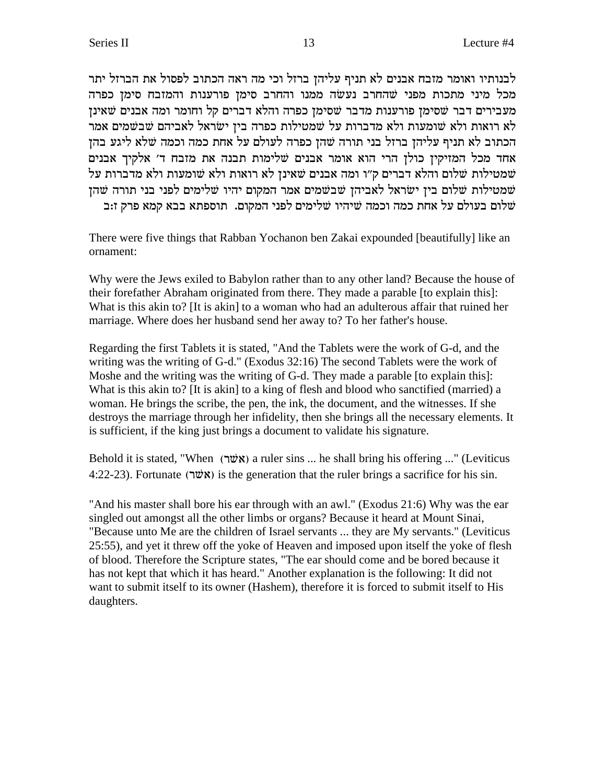לבנותיו ואומר מזבח אבנים לא תניף עליהן ברזל וכי מה ראה הכתוב לפסול את הברזל יתר מכל מיני מתכות מפני שהחרב נעשה ממנו והחרב סימן פורענות והמזבח סימן כפרה מעבירים דבר שסימן פורענות מדבר שסימן כפרה והלא דברים קל וחומר ומה אבנים שאינן לא רואות ולא שומעות ולא מדברות על שמטילות כפרה בין ישראל לאביהם שבשמים אמר הכתוב לא תניף עליהן ברזל בני תורה שהן כפרה לעולם על אחת כמה וכמה שלא ליגע בהן אחד מכל המזיקין כולן הרי הוא אומר אבנים שלימות תבנה את מזבח ד׳ אלקיך אבנים שמטילות שלום והלא דברים ק"ו ומה אבנים שאינן לא רואות ולא שומעות ולא מדברות על שמטילות שלום ביז ישראל לאביהז שבשמים אמר המקום יהיו שלימים לפני בני תורה שהז שלום בעולם על אחת כמה וכמה שיהיו שלימים לפני המקום. תוספתא בבא קמא פרק ז:ב

There were five things that Rabban Yochanon ben Zakai expounded [beautifully] like an ornament:

Why were the Jews exiled to Babylon rather than to any other land? Because the house of their forefather Abraham originated from there. They made a parable [to explain this]: What is this akin to? It is akin to a woman who had an adulterous affair that ruined her marriage. Where does her husband send her away to? To her father's house.

Regarding the first Tablets it is stated, "And the Tablets were the work of G-d, and the writing was the writing of G-d." (Exodus 32:16) The second Tablets were the work of Moshe and the writing was the writing of G-d. They made a parable [to explain this]: What is this akin to? [It is akin] to a king of flesh and blood who sanctified (married) a woman. He brings the scribe, the pen, the ink, the document, and the witnesses. If she destroys the marriage through her infidelity, then she brings all the necessary elements. It is sufficient, if the king just brings a document to validate his signature.

Behold it is stated, "When (אָלָטר) a ruler sins ... he shall bring his offering ..." (Leviticus 4:22-23). Fortunate (אָטר) is the generation that the ruler brings a sacrifice for his sin.

"And his master shall bore his ear through with an awl." (Exodus 21:6) Why was the ear singled out amongst all the other limbs or organs? Because it heard at Mount Sinai, "Because unto Me are the children of Israel servants ... they are My servants." (Leviticus 25:55), and yet it threw off the yoke of Heaven and imposed upon itself the yoke of flesh of blood. Therefore the Scripture states, "The ear should come and be bored because it has not kept that which it has heard." Another explanation is the following: It did not want to submit itself to its owner (Hashem), therefore it is forced to submit itself to His daughters.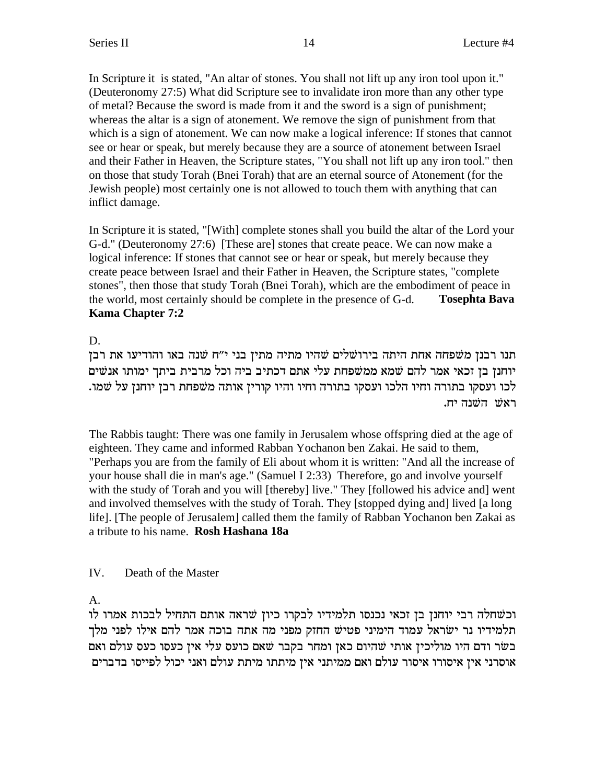In Scripture it is stated, "An altar of stones. You shall not lift up any iron tool upon it." (Deuteronomy 27:5) What did Scripture see to invalidate iron more than any other type of metal? Because the sword is made from it and the sword is a sign of punishment; whereas the altar is a sign of atonement. We remove the sign of punishment from that which is a sign of atonement. We can now make a logical inference: If stones that cannot see or hear or speak, but merely because they are a source of atonement between Israel and their Father in Heaven, the Scripture states, "You shall not lift up any iron tool." then on those that study Torah (Bnei Torah) that are an eternal source of Atonement (for the Jewish people) most certainly one is not allowed to touch them with anything that can inflict damage.

In Scripture it is stated, "[With] complete stones shall you build the altar of the Lord your G-d." (Deuteronomy 27:6) [These are] stones that create peace. We can now make a logical inference: If stones that cannot see or hear or speak, but merely because they create peace between Israel and their Father in Heaven, the Scripture states, "complete stones", then those that study Torah (Bnei Torah), which are the embodiment of peace in the world, most certainly should be complete in the presence of G-d. **Tosephta Bava Kama Chapter 7:2**

# D.

תנו רבנן משפחה אחת היתה בירושלים שהיו מתיה מתין בני י״ח שנה באו והודיעו את רבן יוחנן בן זכאי אמר להם שמא ממשפחת עלי אתם דכתיב ביה וכל מרבית ביתך ימותו אנשים לכו ועסקו בתורה וחיו הלכו ועסקו בתורה וחיו והיו קורין אותה משפחת רבן יוחנן על שמו. .ראשׁ השׁנה יח

The Rabbis taught: There was one family in Jerusalem whose offspring died at the age of eighteen. They came and informed Rabban Yochanon ben Zakai. He said to them, "Perhaps you are from the family of Eli about whom it is written: "And all the increase of your house shall die in man's age." (Samuel I 2:33) Therefore, go and involve yourself with the study of Torah and you will [thereby] live." They [followed his advice and] went and involved themselves with the study of Torah. They [stopped dying and] lived [a long life]. [The people of Jerusalem] called them the family of Rabban Yochanon ben Zakai as a tribute to his name. **Rosh Hashana 18a**

# IV. Death of the Master

A.

וכשחלה רבי יוחנן בן זכאי נכנסו תלמידיו לבקרו כיון שראה אותם התחיל לבכות אמרו לו תלמידיו נר ישראל עמוד הימיני פטיש החזק מפני מה אתה בוכה אמר להם אילו לפני מלך בשר ודם היו מוליכין אותי שהיום כאן ומחר בקבר שאם כועס עלי אין כעסו כעס עולם ואם אוסרני אין איסורו איסור עולם ואם ממיתני אין מיתתו מיתת עולם ואני יכול לפייסו בדברים